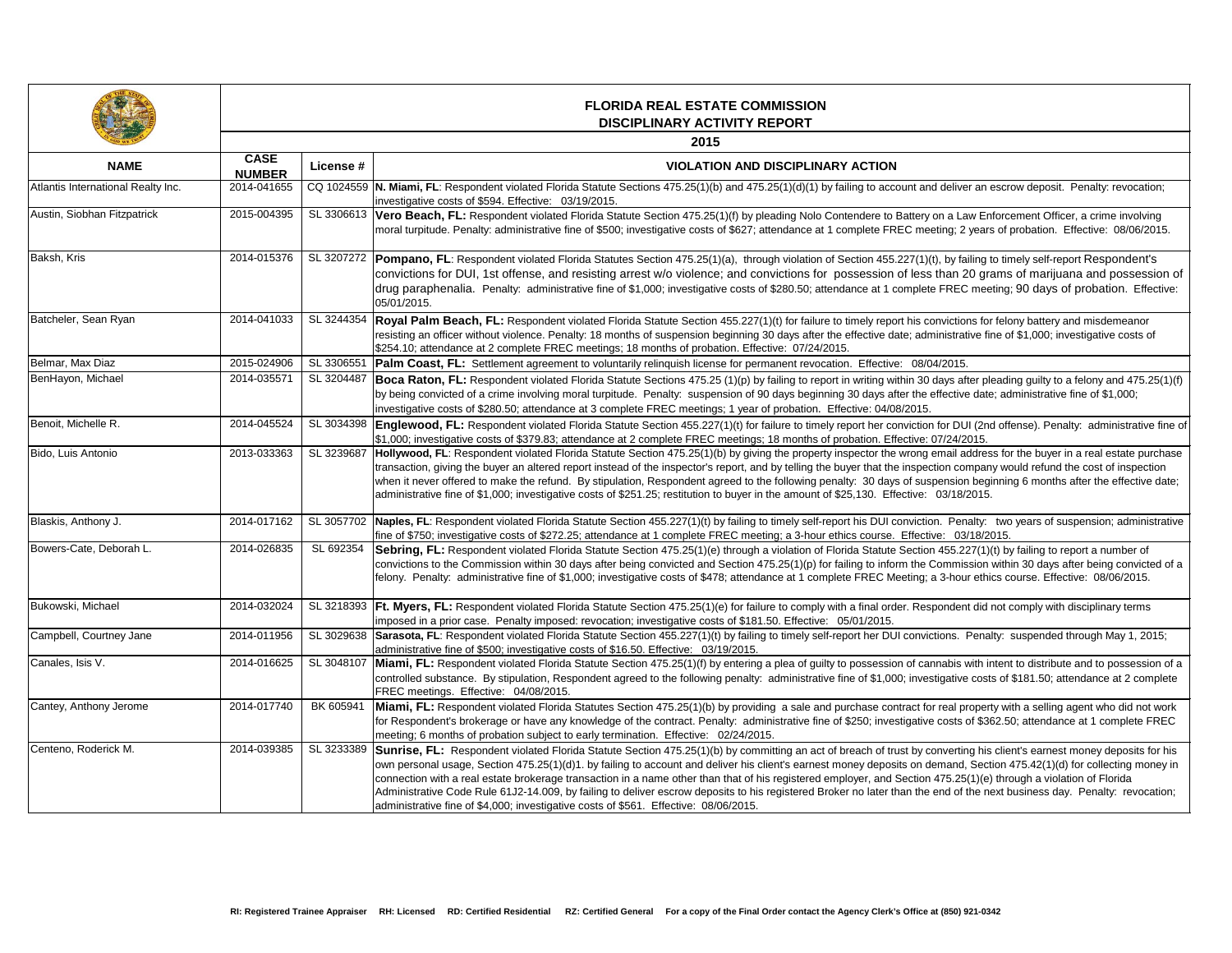an escrow deposit. Penalty: revocation;

**Enforcement Officer, a crime involving** Respondent Beat ears of probation. Effective: 08/06/2015.

ng to timely self-report Respondent's grams of marijuana and possession of neeting; 90 days of probation. Effective:

 $s$  for felony battery and misdemeanor e fine of \$1,000; investigative costs of

pleading guilty to a felony and 475.25(1)(f) pleading guilty to a felony and 475.25 (1)(f) bate: administrative fine of \$1,000;

Benoit, Michelle R. 2014-045524 SL 3034398 **Englewood, FL:** Respondent violated Florida Statute Section 455.227(1)(t) for failure to timely report her conviction for DUI (2nd offense). Penalty: administrative fine of

ress for the buyer in a real estate purchase pany would refund the cost of inspection beginning 6 months after the effective date;

ty: two years of suspension; administrative

(1)(t) by failing to report a number of on within 30 days after being convicted of a ethics course. Effective: 08/06/2015.

did not comply with disciplinary terms

Palty: suspended through May 1, 2015;

th intent to distribute and to possession of a costs of \$181.50; attendance at 2 complete

Perty with a selling agent who did not work \$362.50; attendance at 1 complete FREC

his client's earnest money deposits for his ection 475.42(1)(d) for collecting money in )(e) through a violation of Florida next business day. Penalty: revocation;

| <b>NAME</b>                        | <b>FLORIDA REAL ESTATE COMMISSION</b><br><b>DISCIPLINARY ACTIVITY REPORT</b> |            |                                                                                                                                                                                                                                                                                                                                                                                                                                                                                                                                                                                                                                                                   |  |
|------------------------------------|------------------------------------------------------------------------------|------------|-------------------------------------------------------------------------------------------------------------------------------------------------------------------------------------------------------------------------------------------------------------------------------------------------------------------------------------------------------------------------------------------------------------------------------------------------------------------------------------------------------------------------------------------------------------------------------------------------------------------------------------------------------------------|--|
|                                    | <b>CASE</b><br><b>NUMBER</b>                                                 | License #  | 2015<br><b>VIOLATION AND DISCIPLINARY ACTION</b>                                                                                                                                                                                                                                                                                                                                                                                                                                                                                                                                                                                                                  |  |
| Atlantis International Realty Inc. | 2014-041655                                                                  |            | CQ 1024559 N. Miami, FL: Respondent violated Florida Statute Sections 475.25(1)(b) and 475.25(1)(d)(1) by failing to account and deliver an escr<br>investigative costs of \$594. Effective: 03/19/2015.                                                                                                                                                                                                                                                                                                                                                                                                                                                          |  |
| Austin, Siobhan Fitzpatrick        | 2015-004395                                                                  | SL 3306613 | Vero Beach, FL: Respondent violated Florida Statute Section 475.25(1)(f) by pleading Nolo Contendere to Battery on a Law Enford<br>moral turpitude. Penalty: administrative fine of \$500; investigative costs of \$627; attendance at 1 complete FREC meeting; 2 years of                                                                                                                                                                                                                                                                                                                                                                                        |  |
| Baksh, Kris                        | 2014-015376                                                                  | SL 3207272 | Pompano, FL: Respondent violated Florida Statutes Section 475.25(1)(a), through violation of Section 455.227(1)(t), by failing to tir<br>convictions for DUI, 1st offense, and resisting arrest w/o violence; and convictions for possession of less than 20 grams<br>drug paraphenalia. Penalty: administrative fine of \$1,000; investigative costs of \$280.50; attendance at 1 complete FREC meeting<br>05/01/2015.                                                                                                                                                                                                                                           |  |
| Batcheler, Sean Ryan               | 2014-041033                                                                  | SL 3244354 | Royal Palm Beach, FL: Respondent violated Florida Statute Section 455.227(1)(t) for failure to timely report his convictions for feld<br>resisting an officer without violence. Penalty: 18 months of suspension beginning 30 days after the effective date; administrative fine c<br>\$254.10; attendance at 2 complete FREC meetings; 18 months of probation. Effective: 07/24/2015.                                                                                                                                                                                                                                                                            |  |
| Belmar, Max Diaz                   | 2015-024906                                                                  | SL 3306551 | Palm Coast, FL: Settlement agreement to voluntarily relinquish license for permanent revocation. Effective: 08/04/2015.                                                                                                                                                                                                                                                                                                                                                                                                                                                                                                                                           |  |
| BenHayon, Michael                  | 2014-035571                                                                  | SL 3204487 | Boca Raton, FL: Respondent violated Florida Statute Sections 475.25 (1)(p) by failing to report in writing within 30 days after pleadi<br>by being convicted of a crime involving moral turpitude. Penalty: suspension of 90 days beginning 30 days after the effective date; ad<br>investigative costs of \$280.50; attendance at 3 complete FREC meetings; 1 year of probation. Effective: 04/08/2015.                                                                                                                                                                                                                                                          |  |
| Benoit, Michelle R.                | 2014-045524                                                                  | SL 3034398 | Englewood, FL: Respondent violated Florida Statute Section 455.227(1)(t) for failure to timely report her conviction for DUI (2nd off<br>\$1,000; investigative costs of \$379.83; attendance at 2 complete FREC meetings; 18 months of probation. Effective: 07/24/2015.                                                                                                                                                                                                                                                                                                                                                                                         |  |
| Bido, Luis Antonio                 | 2013-033363                                                                  | SL 3239687 | Hollywood, FL: Respondent violated Florida Statute Section 475.25(1)(b) by giving the property inspector the wrong email address fo<br>transaction, giving the buyer an altered report instead of the inspector's report, and by telling the buyer that the inspection company wo<br>when it never offered to make the refund. By stipulation, Respondent agreed to the following penalty: 30 days of suspension beginnir<br>administrative fine of \$1,000; investigative costs of \$251.25; restitution to buyer in the amount of \$25,130. Effective: 03/18/2015.                                                                                              |  |
| Blaskis, Anthony J.                | 2014-017162                                                                  | SL 3057702 | Naples, FL: Respondent violated Florida Statute Section 455.227(1)(t) by failing to timely self-report his DUI conviction. Penalty: two<br>fine of \$750; investigative costs of \$272.25; attendance at 1 complete FREC meeting; a 3-hour ethics course. Effective: 03/18/2015.                                                                                                                                                                                                                                                                                                                                                                                  |  |
| Bowers-Cate, Deborah L.            | 2014-026835                                                                  | SL 692354  | Sebring, FL: Respondent violated Florida Statute Section 475.25(1)(e) through a violation of Florida Statute Section 455.227(1)(t) b<br>convictions to the Commission within 30 days after being convicted and Section 475.25(1)(p) for failing to inform the Commission with<br>felony. Penalty: administrative fine of \$1,000; investigative costs of \$478; attendance at 1 complete FREC Meeting; a 3-hour ethics c                                                                                                                                                                                                                                          |  |
| Bukowski, Michael                  | 2014-032024                                                                  | SL 3218393 | <b>Ft. Myers, FL:</b> Respondent violated Florida Statute Section 475.25(1)(e) for failure to comply with a final order. Respondent did not<br>imposed in a prior case. Penalty imposed: revocation; investigative costs of \$181.50. Effective: 05/01/2015.                                                                                                                                                                                                                                                                                                                                                                                                      |  |
| Campbell, Courtney Jane            | 2014-011956                                                                  | SL 3029638 | Sarasota, FL: Respondent violated Florida Statute Section 455.227(1)(t) by failing to timely self-report her DUI convictions. Penalty:<br>administrative fine of \$500; investigative costs of \$16.50. Effective: 03/19/2015.                                                                                                                                                                                                                                                                                                                                                                                                                                    |  |
| Canales, Isis V.                   | 2014-016625                                                                  | SL 3048107 | Miami, FL: Respondent violated Florida Statute Section 475.25(1)(f) by entering a plea of guilty to possession of cannabis with inten<br>controlled substance. By stipulation, Respondent agreed to the following penalty: administrative fine of \$1,000; investigative costs of<br>FREC meetings. Effective: 04/08/2015.                                                                                                                                                                                                                                                                                                                                        |  |
| Cantey, Anthony Jerome             | 2014-017740                                                                  | BK 605941  | Miami, FL: Respondent violated Florida Statutes Section 475.25(1)(b) by providing a sale and purchase contract for real property w<br>for Respondent's brokerage or have any knowledge of the contract. Penalty: administrative fine of \$250; investigative costs of \$362.5<br>meeting; 6 months of probation subject to early termination. Effective: 02/24/2015.                                                                                                                                                                                                                                                                                              |  |
| Centeno, Roderick M.               | 2014-039385                                                                  | SL 3233389 | <b>Sunrise, FL:</b> Respondent violated Florida Statute Section 475.25(1)(b) by committing an act of breach of trust by converting his clie<br>own personal usage, Section 475.25(1)(d)1. by failing to account and deliver his client's earnest money deposits on demand, Section<br>connection with a real estate brokerage transaction in a name other than that of his registered employer, and Section 475.25(1)(e) thro<br>Administrative Code Rule 61J2-14.009, by failing to deliver escrow deposits to his registered Broker no later than the end of the next b<br>administrative fine of \$4,000; investigative costs of \$561. Effective: 08/06/2015. |  |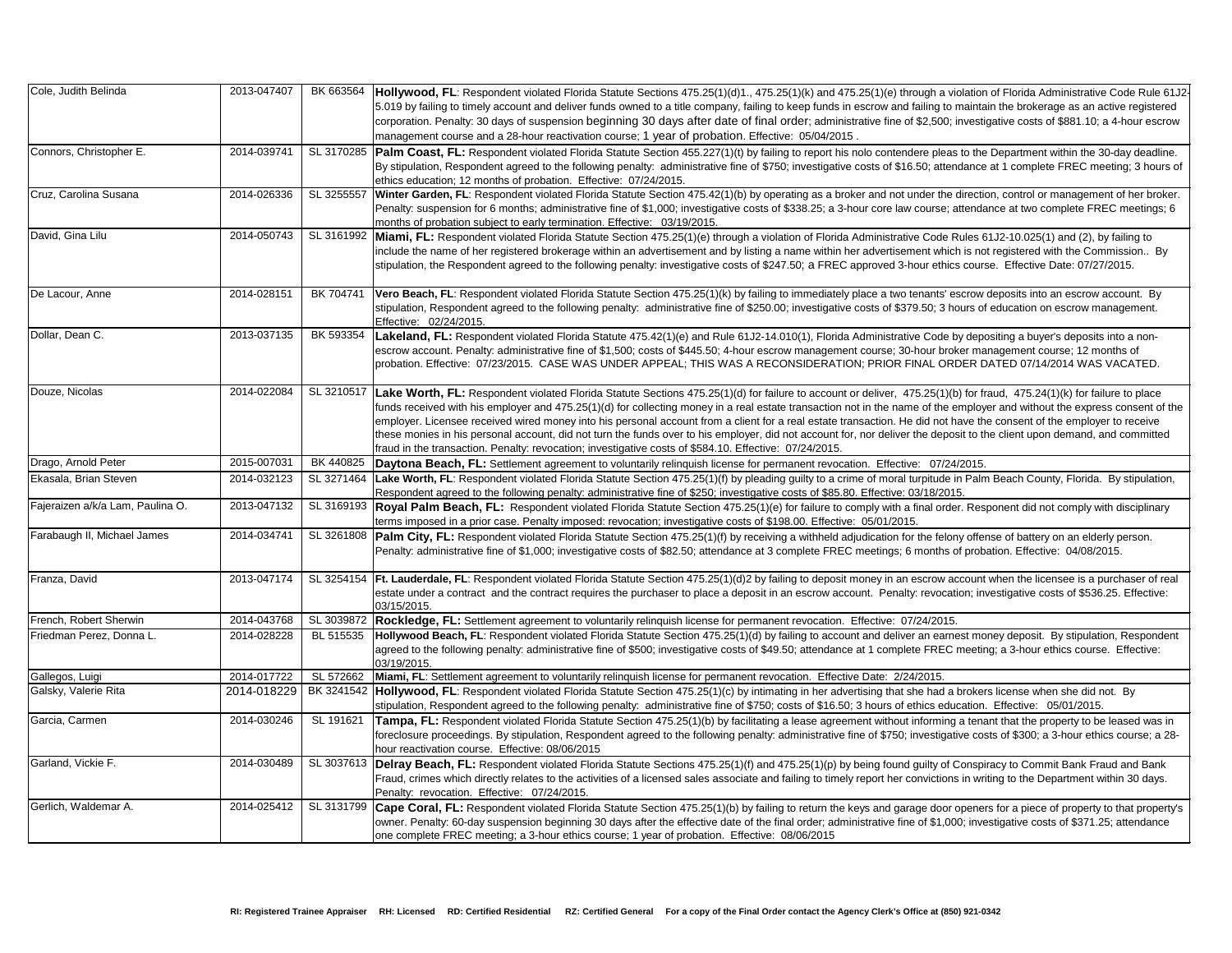Cole, Judith Belinda 2013-047407 BK 663564 **Hollywood, FL**: Respondent violated Florida Statute Sections 475.25(1)(d)1., 475.25(1)(k) and 475.25(1)(e) through a violation of Florida Administrative Code Rule 61J2 ntain the brokerage as an active registered stigative costs of \$881.10; a 4-hour escrow

he Department within the 30-day deadline. ce at 1 complete FREC meeting; 3 hours of

ction, control or management of her broker. dance at two complete FREC meetings; 6

David, Gina Lilu 2014-050743 SL 3161992 **Miami, FL:** Respondent violated Florida Statute Section 475.25(1)(e) through a violation of Florida Administrative Code Rules 61J2-10.025(1) and (2), by failing to not registered with the Commission.. By urse. Effective Date: 07/27/2015.

w deposits into an escrow account. By of education on escrow management.

epositing a buyer's deposits into a nonmanagement course; 12 months of : DATED 07/14/2014 WAS VACATED.

fraud, 475.24(1)(k) for failure to place oyer and without the express consent of the the consent of the employer to receive the client upon demand, and committed

alm Beach County, Florida. By stipulation,

esponent did not comply with disciplinary

fense of battery on an elderly person. obation. Effective: 04/08/2015.

Int when the licensee is a purchaser of real investigative costs of \$536.25. Effective:

money deposit. By stipulation, Respondent eting; a 3-hour ethics course. Effective:

kers license when she did not. By on. Effective: 05/01/2015.

enant that the property to be leased was in foreclosure process. By stipulations and following penalty as a stipulation penalty and  $28-$ 

spiracy to Commit Bank Fraud and Bank writing to the Department within 30 days.

ners for a piece of property to that property's owestigative costs of \$371.25; attendance

| Cole, Judith Belinda             | 2013-047407 | BK 663564  | Hollywood, FL: Respondent violated Florida Statute Sections 475.25(1)(d)1., 475.25(1)(k) and 475.25(1)(e) through a violatior<br>5.019 by failing to timely account and deliver funds owned to a title company, failing to keep funds in escrow and failing to mainta<br>corporation. Penalty: 30 days of suspension beginning 30 days after date of final order; administrative fine of \$2,500; investi<br>management course and a 28-hour reactivation course; 1 year of probation. Effective: 05/04/2015.                                                                                                                                                             |
|----------------------------------|-------------|------------|---------------------------------------------------------------------------------------------------------------------------------------------------------------------------------------------------------------------------------------------------------------------------------------------------------------------------------------------------------------------------------------------------------------------------------------------------------------------------------------------------------------------------------------------------------------------------------------------------------------------------------------------------------------------------|
| Connors, Christopher E.          | 2014-039741 |            | SL 3170285   Palm Coast, FL: Respondent violated Florida Statute Section 455.227(1)(t) by failing to report his nolo contendere pleas to the<br>By stipulation, Respondent agreed to the following penalty: administrative fine of \$750; investigative costs of \$16.50; attendance<br>ethics education; 12 months of probation. Effective: 07/24/2015.                                                                                                                                                                                                                                                                                                                  |
| Cruz, Carolina Susana            | 2014-026336 | SL 3255557 | Winter Garden, FL: Respondent violated Florida Statute Section 475.42(1)(b) by operating as a broker and not under the direction<br>Penalty: suspension for 6 months; administrative fine of \$1,000; investigative costs of \$338.25; a 3-hour core law course; attenda<br>months of probation subject to early termination. Effective: 03/19/2015.                                                                                                                                                                                                                                                                                                                      |
| David, Gina Lilu                 | 2014-050743 | SL 3161992 | Miami, FL: Respondent violated Florida Statute Section 475.25(1)(e) through a violation of Florida Administrative Code Rules 6<br>include the name of her registered brokerage within an advertisement and by listing a name within her advertisement which is no<br>stipulation, the Respondent agreed to the following penalty: investigative costs of \$247.50; a FREC approved 3-hour ethics cours                                                                                                                                                                                                                                                                    |
| De Lacour, Anne                  | 2014-028151 | BK 704741  | Vero Beach, FL: Respondent violated Florida Statute Section 475.25(1)(k) by failing to immediately place a two tenants' escrow<br>stipulation, Respondent agreed to the following penalty: administrative fine of \$250.00; investigative costs of \$379.50; 3 hours of<br>Effective: 02/24/2015.                                                                                                                                                                                                                                                                                                                                                                         |
| Dollar, Dean C.                  | 2013-037135 | BK 593354  | Lakeland, FL: Respondent violated Florida Statute 475.42(1)(e) and Rule 61J2-14.010(1), Florida Administrative Code by depo<br>escrow account. Penalty: administrative fine of \$1,500; costs of \$445.50; 4-hour escrow management course; 30-hour broker ma<br>probation. Effective: 07/23/2015. CASE WAS UNDER APPEAL; THIS WAS A RECONSIDERATION; PRIOR FINAL ORDER D                                                                                                                                                                                                                                                                                                 |
| Douze, Nicolas                   | 2014-022084 |            | SL 3210517  Lake Worth, FL: Respondent violated Florida Statute Sections 475.25(1)(d) for failure to account or deliver, 475.25(1)(b) for fi<br>funds received with his employer and 475.25(1)(d) for collecting money in a real estate transaction not in the name of the employ<br>employer. Licensee received wired money into his personal account from a client for a real estate transaction. He did not have th<br>these monies in his personal account, did not turn the funds over to his employer, did not account for, nor deliver the deposit to tl<br>fraud in the transaction. Penalty: revocation; investigative costs of \$584.10. Effective: 07/24/2015. |
| Drago, Arnold Peter              | 2015-007031 | BK 440825  | Daytona Beach, FL: Settlement agreement to voluntarily relinquish license for permanent revocation. Effective: 07/24/2015.                                                                                                                                                                                                                                                                                                                                                                                                                                                                                                                                                |
| Ekasala, Brian Steven            | 2014-032123 |            | SL 3271464 Lake Worth, FL: Respondent violated Florida Statute Section 475.25(1)(f) by pleading guilty to a crime of moral turpitude in Paln<br>Respondent agreed to the following penalty: administrative fine of \$250; investigative costs of \$85.80. Effective: 03/18/2015.                                                                                                                                                                                                                                                                                                                                                                                          |
| Fajeraizen a/k/a Lam, Paulina O. | 2013-047132 | SL 3169193 | Royal Palm Beach, FL: Respondent violated Florida Statute Section 475.25(1)(e) for failure to comply with a final order. Res<br>terms imposed in a prior case. Penalty imposed: revocation; investigative costs of \$198.00. Effective: 05/01/2015.                                                                                                                                                                                                                                                                                                                                                                                                                       |
| Farabaugh II, Michael James      | 2014-034741 |            | SL 3261808   Palm City, FL: Respondent violated Florida Statute Section 475.25(1)(f) by receiving a withheld adjudication for the felony offer<br>Penalty: administrative fine of \$1,000; investigative costs of \$82.50; attendance at 3 complete FREC meetings; 6 months of prob                                                                                                                                                                                                                                                                                                                                                                                       |
| Franza, David                    | 2013-047174 |            | SL 3254154   Ft. Lauderdale, FL: Respondent violated Florida Statute Section 475.25(1)(d)2 by failing to deposit money in an escrow account<br>estate under a contract and the contract requires the purchaser to place a deposit in an escrow account. Penalty: revocation; in<br>03/15/2015.                                                                                                                                                                                                                                                                                                                                                                            |
| French, Robert Sherwin           | 2014-043768 | SL 3039872 | <b>Rockledge, FL:</b> Settlement agreement to voluntarily relinquish license for permanent revocation. Effective: 07/24/2015.                                                                                                                                                                                                                                                                                                                                                                                                                                                                                                                                             |
| Friedman Perez, Donna L.         | 2014-028228 | BL 515535  | Hollywood Beach, FL: Respondent violated Florida Statute Section 475.25(1)(d) by failing to account and deliver an earnest mo<br>agreed to the following penalty: administrative fine of \$500; investigative costs of \$49.50; attendance at 1 complete FREC meetir<br>03/19/2015.                                                                                                                                                                                                                                                                                                                                                                                       |
| Gallegos, Luigi                  | 2014-017722 | SL 572662  | Miami, FL: Settlement agreement to voluntarily relinquish license for permanent revocation. Effective Date: 2/24/2015.                                                                                                                                                                                                                                                                                                                                                                                                                                                                                                                                                    |
| Galsky, Valerie Rita             | 2014-018229 |            | BK 3241542 Hollywood, FL: Respondent violated Florida Statute Section 475.25(1)(c) by intimating in her advertising that she had a broker<br>stipulation, Respondent agreed to the following penalty: administrative fine of \$750; costs of \$16.50; 3 hours of ethics education                                                                                                                                                                                                                                                                                                                                                                                         |
| Garcia, Carmen                   | 2014-030246 | SL 191621  | Tampa, FL: Respondent violated Florida Statute Section 475.25(1)(b) by facilitating a lease agreement without informing a tena<br>foreclosure proceedings. By stipulation, Respondent agreed to the following penalty: administrative fine of \$750; investigative cos<br>hour reactivation course. Effective: 08/06/2015                                                                                                                                                                                                                                                                                                                                                 |
| Garland, Vickie F.               | 2014-030489 |            | SL 3037613  Delray Beach, FL: Respondent violated Florida Statute Sections 475.25(1)(f) and 475.25(1)(p) by being found guilty of Conspi<br>Fraud, crimes which directly relates to the activities of a licensed sales associate and failing to timely report her convictions in writion<br>Penalty: revocation. Effective: 07/24/2015.                                                                                                                                                                                                                                                                                                                                   |
| Gerlich, Waldemar A.             | 2014-025412 | SL 3131799 | Cape Coral, FL: Respondent violated Florida Statute Section 475.25(1)(b) by failing to return the keys and garage door opene<br>owner. Penalty: 60-day suspension beginning 30 days after the effective date of the final order; administrative fine of \$1,000; inve<br>one complete FREC meeting; a 3-hour ethics course; 1 year of probation. Effective: 08/06/2015                                                                                                                                                                                                                                                                                                    |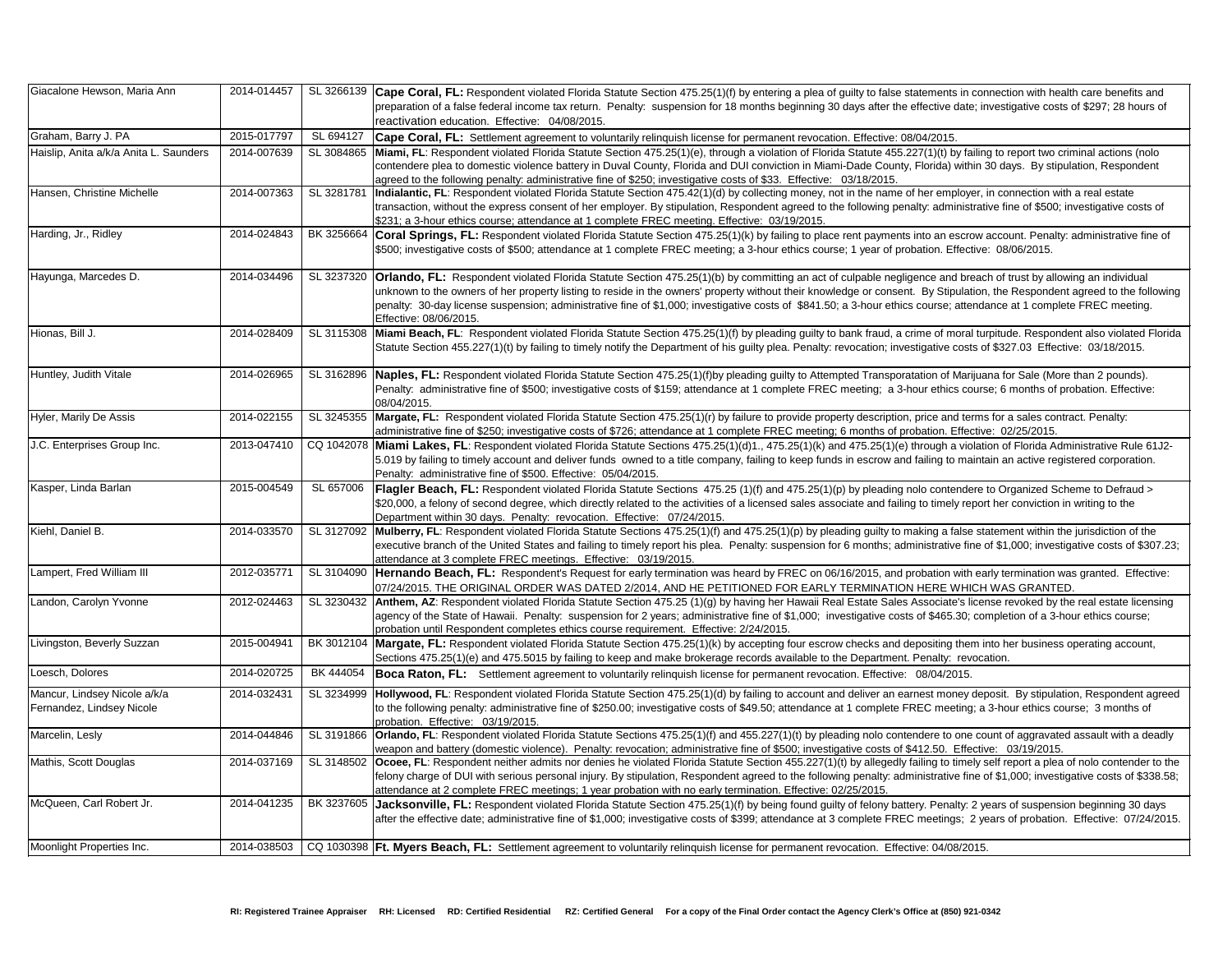connection with health care benefits and ; investigative costs of \$297; 28 hours of

ling to report two criminal actions (nolo n 30 days. By stipulation, Respondent

**Indials** Equipment Michelle 2014-008: Responding Findian Statute Statute Statute Statute Statute Statute Statute S rative fine of \$500; investigative costs of

w account. Penalty: administrative fine of<br>ive: 08/06/2015.

ach of trust by allowing an individual on, the Respondent agreed to the following ndance at 1 complete FREC meeting.

turpitude. Respondent also violated Florida of \$327.03 Effective: 03/18/2015.

uana for Sale (More than 2 pounds). urse; 6 months of probation. Effective:

ms for a sales contract. Penalty: tive: 02/25/2015.

ation of Florida Administrative Rule 61J2ntain an active registered corporation.

re to Organized Scheme to Defraud > oort her conviction in writing to the

statement within the jurisdiction of the e of \$1,000; investigative costs of \$307.23;

early termination was granted. Effective: CH WAS GRANTED.

cense revoked by the real estate licensing completion of a 3-hour ethics course;

m into her business operating account,

deposit. By stipulation, Respondent agreed a 3-hour ethics course; 3 months of

count of aggravated assault with a deadly ctive: 03/19/2015.

y self report a plea of nolo contender to the e of \$1,000; investigative costs of \$338.58;

wegth years of suspension beginning 30 days years of probation. Effective: 07/24/2015.

| Giacalone Hewson, Maria Ann                               | 2014-014457 | SL 3266139 | <b>Cape Coral, FL:</b> Respondent violated Florida Statute Section 475.25(1)(f) by entering a plea of guilty to false statements in connection with h<br>preparation of a false federal income tax return. Penalty: suspension for 18 months beginning 30 days after the effective date; investigative co<br>reactivation education. Effective: 04/08/2015.                                                                                                                                   |
|-----------------------------------------------------------|-------------|------------|-----------------------------------------------------------------------------------------------------------------------------------------------------------------------------------------------------------------------------------------------------------------------------------------------------------------------------------------------------------------------------------------------------------------------------------------------------------------------------------------------|
| Graham, Barry J. PA                                       | 2015-017797 | SL 694127  | Cape Coral, FL: Settlement agreement to voluntarily relinquish license for permanent revocation. Effective: 08/04/2015.                                                                                                                                                                                                                                                                                                                                                                       |
| Haislip, Anita a/k/a Anita L. Saunders                    | 2014-007639 |            | SL 3084865 Miami, FL: Respondent violated Florida Statute Section 475.25(1)(e), through a violation of Florida Statute 455.227(1)(t) by failing to report two<br>contendere plea to domestic violence battery in Duval County, Florida and DUI conviction in Miami-Dade County, Florida) within 30 days. By s<br>agreed to the following penalty: administrative fine of \$250; investigative costs of \$33. Effective: 03/18/2015.                                                           |
| Hansen, Christine Michelle                                | 2014-007363 | SL 3281781 | Indialantic, FL: Respondent violated Florida Statute Section 475.42(1)(d) by collecting money, not in the name of her employer, in connection<br>transaction, without the express consent of her employer. By stipulation, Respondent agreed to the following penalty: administrative fine of \$50<br>\$231; a 3-hour ethics course; attendance at 1 complete FREC meeting. Effective: 03/19/2015.                                                                                            |
| Harding, Jr., Ridley                                      | 2014-024843 |            | BK 3256664 Coral Springs, FL: Respondent violated Florida Statute Section 475.25(1)(k) by failing to place rent payments into an escrow account. Pena<br>\$500; investigative costs of \$500; attendance at 1 complete FREC meeting; a 3-hour ethics course; 1 year of probation. Effective: 08/06/2015.                                                                                                                                                                                      |
| Hayunga, Marcedes D.                                      | 2014-034496 |            | SL 3237320 <b>Orlando, FL:</b> Respondent violated Florida Statute Section 475.25(1)(b) by committing an act of culpable negligence and breach of trust by a<br>unknown to the owners of her property listing to reside in the owners' property without their knowledge or consent. By Stipulation, the Respond<br>penalty: 30-day license suspension; administrative fine of \$1,000; investigative costs of \$841.50; a 3-hour ethics course; attendance at 1 com<br>Effective: 08/06/2015. |
| Hionas, Bill J.                                           | 2014-028409 |            | SL 3115308 Miami Beach, FL: Respondent violated Florida Statute Section 475.25(1)(f) by pleading guilty to bank fraud, a crime of moral turpitude. Respone<br>Statute Section 455.227(1)(t) by failing to timely notify the Department of his guilty plea. Penalty: revocation; investigative costs of \$327.03 Eff                                                                                                                                                                           |
| Huntley, Judith Vitale                                    | 2014-026965 |            | SL 3162896 Naples, FL: Respondent violated Florida Statute Section 475.25(1)(f)by pleading guilty to Attempted Transporatation of Marijuana for Sale (M<br>Penalty: administrative fine of \$500; investigative costs of \$159; attendance at 1 complete FREC meeting; a 3-hour ethics course; 6 months c<br>08/04/2015.                                                                                                                                                                      |
| Hyler, Marily De Assis                                    | 2014-022155 |            | SL 3245355 Margate, FL: Respondent violated Florida Statute Section 475.25(1)(r) by failure to provide property description, price and terms for a sales contained Statute 3.<br>administrative fine of \$250; investigative costs of \$726; attendance at 1 complete FREC meeting; 6 months of probation. Effective: 02/25/2015                                                                                                                                                              |
| J.C. Enterprises Group Inc.                               | 2013-047410 |            | CQ 1042078   Miami Lakes, FL: Respondent violated Florida Statute Sections 475.25(1)(d)1., 475.25(1)(k) and 475.25(1)(e) through a violation of Florida /<br>5.019 by failing to timely account and deliver funds owned to a title company, failing to keep funds in escrow and failing to maintain an active r<br>Penalty: administrative fine of \$500. Effective: 05/04/2015.                                                                                                              |
| Kasper, Linda Barlan                                      | 2015-004549 | SL 657006  | Flagler Beach, FL: Respondent violated Florida Statute Sections 475.25 (1)(f) and 475.25(1)(p) by pleading nolo contendere to Organized<br>\$20,000, a felony of second degree, which directly related to the activities of a licensed sales associate and failing to timely report her convictic<br>Department within 30 days. Penalty: revocation. Effective: 07/24/2015.                                                                                                                   |
| Kiehl, Daniel B.                                          | 2014-033570 |            | SL 3127092 Mulberry, FL: Respondent violated Florida Statute Sections 475.25(1)(f) and 475.25(1)(p) by pleading guilty to making a false statement withir<br>executive branch of the United States and failing to timely report his plea. Penalty: suspension for 6 months; administrative fine of \$1,000; inve<br>attendance at 3 complete FREC meetings. Effective: 03/19/2015.                                                                                                            |
| Lampert, Fred William III                                 | 2012-035771 |            | SL 3104090   Hernando Beach, FL: Respondent's Request for early termination was heard by FREC on 06/16/2015, and probation with early termination<br>07/24/2015. THE ORIGINAL ORDER WAS DATED 2/2014, AND HE PETITIONED FOR EARLY TERMINATION HERE WHICH WAS GRAN'                                                                                                                                                                                                                            |
| Landon, Carolyn Yvonne                                    | 2012-024463 |            | SL 3230432 Anthem, AZ: Respondent violated Florida Statute Section 475.25 (1)(g) by having her Hawaii Real Estate Sales Associate's license revoked b<br>agency of the State of Hawaii. Penalty: suspension for 2 years; administrative fine of \$1,000; investigative costs of \$465.30; completion of a 3<br>probation until Respondent completes ethics course requirement. Effective: 2/24/2015.                                                                                          |
| Livingston, Beverly Suzzan                                | 2015-004941 |            | BK 3012104 Margate, FL: Respondent violated Florida Statute Section 475.25(1)(k) by accepting four escrow checks and depositing them into her busine<br>Sections 475.25(1)(e) and 475.5015 by failing to keep and make brokerage records available to the Department. Penalty: revocation.                                                                                                                                                                                                    |
| Loesch, Dolores                                           | 2014-020725 | BK 444054  | <b>Boca Raton, FL:</b> Settlement agreement to voluntarily relinquish license for permanent revocation. Effective: 08/04/2015.                                                                                                                                                                                                                                                                                                                                                                |
| Mancur, Lindsey Nicole a/k/a<br>Fernandez, Lindsey Nicole | 2014-032431 |            | SL 3234999  Hollywood, FL: Respondent violated Florida Statute Section 475.25(1)(d) by failing to account and deliver an earnest money deposit. By stipu<br>to the following penalty: administrative fine of \$250.00; investigative costs of \$49.50; attendance at 1 complete FREC meeting; a 3-hour ethics<br>probation. Effective: 03/19/2015.                                                                                                                                            |
| Marcelin, Lesly                                           | 2014-044846 | SL 3191866 | Orlando, FL: Respondent violated Florida Statute Sections 475.25(1)(f) and 455.227(1)(t) by pleading nolo contendere to one count of aggrava<br>weapon and battery (domestic violence). Penalty: revocation; administrative fine of \$500; investigative costs of \$412.50. Effective: 03/19/201                                                                                                                                                                                              |
| Mathis, Scott Douglas                                     | 2014-037169 |            | SL 3148502 Ocoee, FL: Respondent neither admits nor denies he violated Florida Statute Section 455.227(1)(t) by allegedly failing to timely self report a pl<br>felony charge of DUI with serious personal injury. By stipulation, Respondent agreed to the following penalty: administrative fine of \$1,000; inve<br>attendance at 2 complete FREC meetings; 1 year probation with no early termination. Effective: 02/25/2015.                                                             |
| McQueen, Carl Robert Jr.                                  | 2014-041235 |            | BK 3237605 Jacksonville, FL: Respondent violated Florida Statute Section 475.25(1)(f) by being found guilty of felony battery. Penalty: 2 years of susper<br>after the effective date; administrative fine of \$1,000; investigative costs of \$399; attendance at 3 complete FREC meetings; 2 years of probati                                                                                                                                                                               |
| Moonlight Properties Inc.                                 | 2014-038503 |            | CQ 1030398  Ft. Myers Beach, FL: Settlement agreement to voluntarily relinquish license for permanent revocation. Effective: 04/08/2015.                                                                                                                                                                                                                                                                                                                                                      |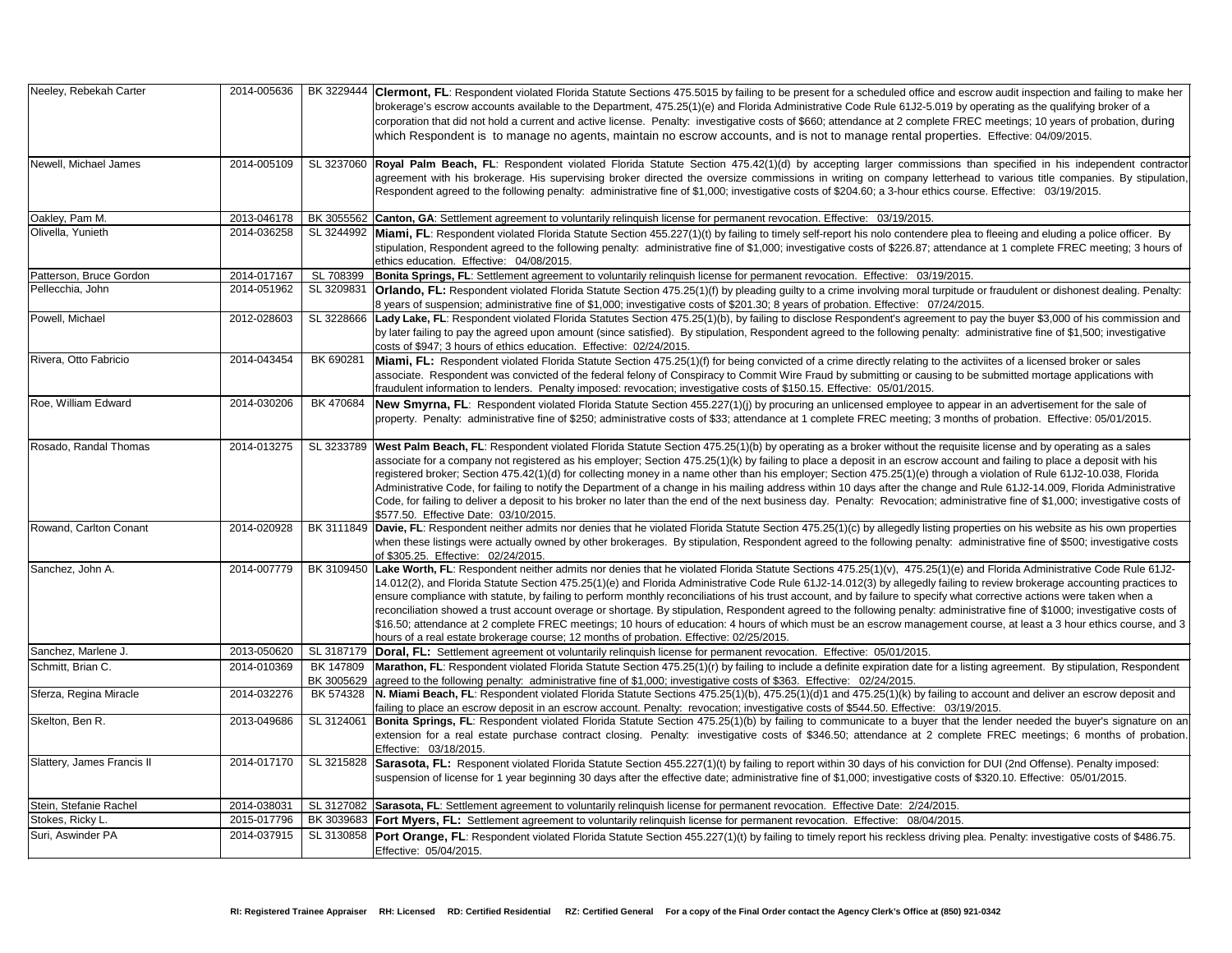row audit inspection and failing to make her perating as the qualifying broker of a C meetings; 10 years of probation, during s. Effective: 04/09/2015.

an specified in his independent contractor d to various title companies. By stipulation, Respondent ages to the fine of the fine of the fine of the fine of \$2015.

to fleeing and eluding a police officer. By ce at 1 complete FREC meeting; 3 hours of

or fraudulent or dishonest dealing. Penalty:

ay the buyer \$3,000 of his commission and dministrative fine of \$1,500; investigative

iviites of a licensed broker or sales e submitted mortage applications with

ar in an advertisement for the sale of of probation. Effective: 05/01/2015.

e license and by operating as a sales t and failing to place a deposit with his register; Section 475.42 for collection of Rule 61J2-10.038, Florida Rule 61J2-14.009, Florida Administrative strative fine of \$1,000; investigative costs of

erties on his website as his own properties ninistrative fine of \$500; investigative costs

nd Florida Administrative Code Rule 61J2o review brokerage accounting practices to corrective actions were taken when a trative fine of \$1000; investigative costs of ourse, at least a 3 hour ethics course, and 3

**The Alisa Statute Statute Statute State State** Section 315.25 (non-agreement. By stipulation, Respondent.

account and deliver an escrow deposit and

**Belton Bonita Statute Statute Statute Statute Section Filter Statute Section 475.25 Funder needed the buyer's signature on an** te FREC meetings; 6 months of probation

**Solattery** Suames Francis II 2015<br>In Bull (2nd Offense). Penalty imposed: \$320 10. Effective: 05/01/2015.

Burian Penalty: investigative costs of \$486.75.

| Neeley, Rebekah Carter     | 2014-005636 | BK 3229444              | <b>Clermont, FL</b> : Respondent violated Florida Statute Sections 475.5015 by failing to be present for a scheduled office and escrow a<br>brokerage's escrow accounts available to the Department, 475.25(1)(e) and Florida Administrative Code Rule 61J2-5.019 by operat<br>corporation that did not hold a current and active license. Penalty: investigative costs of \$660; attendance at 2 complete FREC me<br>which Respondent is to manage no agents, maintain no escrow accounts, and is not to manage rental properties. Eff                                                                                                                                                                                                                                                              |
|----------------------------|-------------|-------------------------|------------------------------------------------------------------------------------------------------------------------------------------------------------------------------------------------------------------------------------------------------------------------------------------------------------------------------------------------------------------------------------------------------------------------------------------------------------------------------------------------------------------------------------------------------------------------------------------------------------------------------------------------------------------------------------------------------------------------------------------------------------------------------------------------------|
| Newell, Michael James      | 2014-005109 |                         | SL 3237060 Royal Palm Beach, FL: Respondent violated Florida Statute Section 475.42(1)(d) by accepting larger commissions than s<br>agreement with his brokerage. His supervising broker directed the oversize commissions in writing on company letterhead to v<br>Respondent agreed to the following penalty: administrative fine of \$1,000; investigative costs of \$204.60; a 3-hour ethics course. Et                                                                                                                                                                                                                                                                                                                                                                                          |
| Oakley, Pam M.             | 2013-046178 |                         | BK 3055562 Canton, GA: Settlement agreement to voluntarily relinquish license for permanent revocation. Effective: 03/19/2015.                                                                                                                                                                                                                                                                                                                                                                                                                                                                                                                                                                                                                                                                       |
| Olivella, Yunieth          | 2014-036258 | SL 3244992              | Miami, FL: Respondent violated Florida Statute Section 455.227(1)(t) by failing to timely self-report his nolo contendere plea to flee<br>stipulation, Respondent agreed to the following penalty: administrative fine of \$1,000; investigative costs of \$226.87; attendance at<br>ethics education. Effective: 04/08/2015.                                                                                                                                                                                                                                                                                                                                                                                                                                                                        |
| Patterson, Bruce Gordon    | 2014-017167 | SL 708399               | Bonita Springs, FL: Settlement agreement to voluntarily relinquish license for permanent revocation. Effective: 03/19/2015.                                                                                                                                                                                                                                                                                                                                                                                                                                                                                                                                                                                                                                                                          |
| Pellecchia, John           | 2014-051962 | SL 3209831              | <b>Orlando, FL:</b> Respondent violated Florida Statute Section 475.25(1)(f) by pleading guilty to a crime involving moral turpitude or fra<br>8 years of suspension; administrative fine of \$1,000; investigative costs of \$201.30; 8 years of probation. Effective: 07/24/2015.                                                                                                                                                                                                                                                                                                                                                                                                                                                                                                                  |
| Powell, Michael            | 2012-028603 | SL 3228666              | Lady Lake, FL: Respondent violated Florida Statutes Section 475.25(1)(b), by failing to disclose Respondent's agreement to pay the<br>by later failing to pay the agreed upon amount (since satisfied). By stipulation, Respondent agreed to the following penalty: adminis<br>costs of \$947; 3 hours of ethics education. Effective: 02/24/2015.                                                                                                                                                                                                                                                                                                                                                                                                                                                   |
| Rivera, Otto Fabricio      | 2014-043454 | BK 690281               | Miami, FL: Respondent violated Florida Statute Section 475.25(1)(f) for being convicted of a crime directly relating to the activiites<br>associate. Respondent was convicted of the federal felony of Conspiracy to Commit Wire Fraud by submitting or causing to be sub<br>fraudulent information to lenders. Penalty imposed: revocation; investigative costs of \$150.15. Effective: 05/01/2015.                                                                                                                                                                                                                                                                                                                                                                                                 |
| Roe, William Edward        | 2014-030206 | BK 470684               | New Smyrna, FL: Respondent violated Florida Statute Section 455.227(1)(j) by procuring an unlicensed employee to appear in a<br>property. Penalty: administrative fine of \$250; administrative costs of \$33; attendance at 1 complete FREC meeting; 3 months of p                                                                                                                                                                                                                                                                                                                                                                                                                                                                                                                                  |
| Rosado, Randal Thomas      | 2014-013275 |                         | SL 3233789 West Palm Beach, FL: Respondent violated Florida Statute Section 475.25(1)(b) by operating as a broker without the requisite lice<br>associate for a company not registered as his employer; Section 475.25(1)(k) by failing to place a deposit in an escrow account and<br>registered broker; Section 475.42(1)(d) for collecting money in a name other than his employer; Section 475.25(1)(e) through a viola<br>Administrative Code, for failing to notify the Department of a change in his mailing address within 10 days after the change and Rule<br>Code, for failing to deliver a deposit to his broker no later than the end of the next business day. Penalty: Revocation; administrativ<br>\$577.50. Effective Date: 03/10/2015.                                             |
| Rowand, Carlton Conant     | 2014-020928 |                         | BK 3111849 Davie, FL: Respondent neither admits nor denies that he violated Florida Statute Section 475.25(1)(c) by allegedly listing properties<br>when these listings were actually owned by other brokerages. By stipulation, Respondent agreed to the following penalty: administ<br>of \$305.25. Effective: 02/24/2015.                                                                                                                                                                                                                                                                                                                                                                                                                                                                         |
| Sanchez, John A.           | 2014-007779 |                         | BK 3109450 Lake Worth, FL: Respondent neither admits nor denies that he violated Florida Statute Sections 475.25(1)(v), 475.25(1)(e) and Flo<br>14.012(2), and Florida Statute Section 475.25(1)(e) and Florida Administrative Code Rule 61J2-14.012(3) by allegedly failing to revi-<br>ensure compliance with statute, by failing to perform monthly reconciliations of his trust account, and by failure to specify what corre<br>reconciliation showed a trust account overage or shortage. By stipulation, Respondent agreed to the following penalty: administrativ<br>\$16.50; attendance at 2 complete FREC meetings; 10 hours of education: 4 hours of which must be an escrow management course<br>hours of a real estate brokerage course; 12 months of probation. Effective: 02/25/2015. |
| Sanchez, Marlene J.        | 2013-050620 | SL 3187179              | <b>Doral, FL:</b> Settlement agreement ot voluntarily relinquish license for permanent revocation. Effective: 05/01/2015.                                                                                                                                                                                                                                                                                                                                                                                                                                                                                                                                                                                                                                                                            |
| Schmitt, Brian C.          | 2014-010369 | BK 147809<br>BK 3005629 | Marathon, FL: Respondent violated Florida Statute Section 475.25(1)(r) by failing to include a definite expiration date for a listing ag<br>agreed to the following penalty: administrative fine of \$1,000; investigative costs of \$363. Effective: 02/24/2015.                                                                                                                                                                                                                                                                                                                                                                                                                                                                                                                                    |
| Sferza, Regina Miracle     | 2014-032276 | BK 574328               | N. Miami Beach, FL: Respondent violated Florida Statute Sections 475.25(1)(b), 475.25(1)(d)1 and 475.25(1)(k) by failing to accou<br>failing to place an escrow deposit in an escrow account. Penalty: revocation; investigative costs of \$544.50. Effective: 03/19/2015.                                                                                                                                                                                                                                                                                                                                                                                                                                                                                                                           |
| Skelton, Ben R.            | 2013-049686 | SL 3124061              | Bonita Springs, FL: Respondent violated Florida Statute Section 475.25(1)(b) by failing to communicate to a buyer that the lend<br>extension for a real estate purchase contract closing. Penalty: investigative costs of \$346.50; attendance at 2 complete FR<br>Effective: 03/18/2015.                                                                                                                                                                                                                                                                                                                                                                                                                                                                                                            |
| Slattery, James Francis II | 2014-017170 | SL 3215828              | Sarasota, FL: Responent violated Florida Statute Section 455.227(1)(t) by failing to report within 30 days of his conviction for DU<br>suspension of license for 1 year beginning 30 days after the effective date; administrative fine of \$1,000; investigative costs of \$320.                                                                                                                                                                                                                                                                                                                                                                                                                                                                                                                    |
| Stein, Stefanie Rachel     | 2014-038031 |                         | SL 3127082 Sarasota, FL: Settlement agreement to voluntarily relinquish license for permanent revocation. Effective Date: 2/24/2015.                                                                                                                                                                                                                                                                                                                                                                                                                                                                                                                                                                                                                                                                 |
| Stokes, Ricky L.           | 2015-017796 |                         | BK 3039683   Fort Myers, FL: Settlement agreement to voluntarily relinquish license for permanent revocation. Effective: 08/04/2015.                                                                                                                                                                                                                                                                                                                                                                                                                                                                                                                                                                                                                                                                 |
| Suri, Aswinder PA          | 2014-037915 | SL 3130858              | <b>Port Orange, FL:</b> Respondent violated Florida Statute Section 455.227(1)(t) by failing to timely report his reckless driving plea. Pe<br>Effective: 05/04/2015.                                                                                                                                                                                                                                                                                                                                                                                                                                                                                                                                                                                                                                |